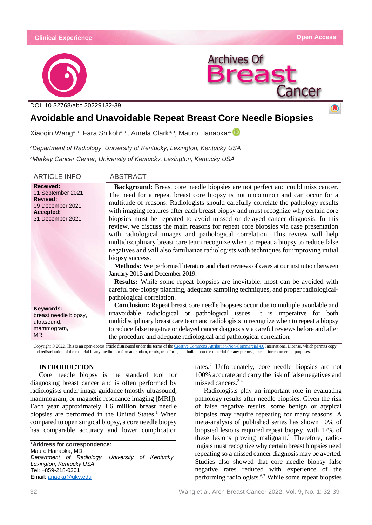# **Clinical Experience Open Access**

 $\blacksquare$ 





DOI: [10.32768/abc.20229132-39](http://dx.doi.org/10.32768/abc.202184267-276)

# **Avoidable and Unavoidable Repeat Breast Core Needle Biopsies**

Xi[a](https://www.orcid.org/0000-0002-3962-5425)oqin Wang<sup>a,b</sup>, Fara Shikoh<sup>a,b</sup>, Aurela Clark<sup>a,b</sup>, Mauro Hanaoka<sup>\*a ib</sup>

*aDepartment of Radiology, University of Kentucky, Lexington, Kentucky USA*

*bMarkey Cancer Center, University of Kentucky, Lexington, Kentucky USA*

### ARTICLE INFO ABSTRACT

#### **Received:** 01 September 2021 **Revised:** 09 December 2021 **Accepted:**

31 December 2021

**Keywords:** breast needle biopsy, ultrasound, mammogram, MRI

**Background:** Breast core needle biopsies are not perfect and could miss cancer. The need for a repeat breast core biopsy is not uncommon and can occur for a multitude of reasons. Radiologists should carefully correlate the pathology results with imaging features after each breast biopsy and must recognize why certain core biopsies must be repeated to avoid missed or delayed cancer diagnosis. In this review, we discuss the main reasons for repeat core biopsies via case presentation with radiological images and pathological correlation. This review will help multidisciplinary breast care team recognize when to repeat a biopsy to reduce false negatives and will also familiarize radiologists with techniques for improving initial biopsy success.

**Methods:** We performed literature and chart reviews of cases at our institution between January 2015 and December 2019.

**Results:** While some repeat biopsies are inevitable, most can be avoided with careful pre-biopsy planning, adequate sampling techniques, and proper radiologicalpathological correlation.

**Conclusion:** Repeat breast core needle biopsies occur due to multiple avoidable and unavoidable radiological or pathological issues. It is imperative for both multidisciplinary breast care team and radiologists to recognize when to repeat a biopsy to reduce false negative or delayed cancer diagnosis via careful reviews before and after the procedure and adequate radiological and pathological correlation.

Copyright © 2022. This is an open-access article distributed under the terms of th[e Creative Commons Attribution-Non-Commercial 4.0](https://creativecommons.org/licenses/by-nc/4.0/) International License, which permits copy and redistribution of the material in any medium or format or adapt, remix, transform, and build upon the material for any purpose, except for commercial purposes.

# **INTRODUCTION**

Core needle biopsy is the standard tool for diagnosing breast cancer and is often performed by radiologists under image guidance (mostly ultrasound, mammogram, or magnetic resonance imaging [MRI]). Each year approximately 1.6 million breast needle biopsies are performed in the United States. <sup>1</sup> When compared to open surgical biopsy, a core needle biopsy has comparable accuracy and lower complication

**\*Address for correspondence:** Mauro Hanaoka, MD *Department of Radiology, University of Kentucky, Lexington, Kentucky USA* Tel: +859-218-0301 Email[: anaoka@uky.edu](mailto:anaoka@uky.edu)

rates.2 Unfortunately, core needle biopsies are not 100% accurate and carry the risk of false negatives and missed cancers.3,4

Radiologists play an important role in evaluating pathology results after needle biopsies. Given the risk of false negative results, some benign or atypical biopsies may require repeating for many reasons. A meta-analysis of published series has shown 10% of biopsied lesions required repeat biopsy, with 17% of these lesions proving malignant.<sup>5</sup> Therefore, radiologists must recognize why certain breast biopsies need repeating so a missed cancer diagnosis may be averted. Studies also showed that core needle biopsy false negative rates reduced with experience of the performing radiologists.<sup>6,7</sup> While some repeat biopsies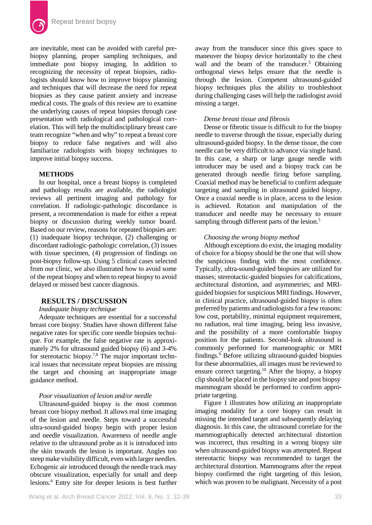

are inevitable, most can be avoided with careful prebiopsy planning, proper sampling techniques, and immediate post biopsy imaging. In addition to recognizing the necessity of repeat biopsies, radiologists should know how to improve biopsy planning and techniques that will decrease the need for repeat biopsies as they cause patient anxiety and increase medical costs. The goals of this review are to examine the underlying causes of repeat biopsies through case presentation with radiological and pathological correlation. This will help the multidisciplinary breast care team recognize "when and why" to repeat a breast core biopsy to reduce false negatives and will also familiarize radiologists with biopsy techniques to improve initial biopsy success.

# **METHODS**

In our hospital, once a breast biopsy is completed and pathology results are available, the radiologist reviews all pertinent imaging and pathology for correlation. If radiologic-pathologic discordance is present, a recommendation is made for either a repeat biopsy or discussion during weekly tumor board. Based on our review, reasons for repeated biopsies are: (1) inadequate biopsy technique, (2) challenging or discordant radiologic-pathologic correlation, (3) issues with tissue specimen, (4) progression of findings on post-biopsy follow-up. Using 5 clinical cases selected from our clinic, we also illustrated how to avoid some of the repeat biopsy and when to repeat biopsy to avoid delayed or missed best cancer diagnosis.

#### **RESULTS / DISCUSSION**

#### *Inadequate biopsy technique*

Adequate techniques are essential for a successful breast core biopsy. Studies have shown different false negative rates for specific core needle biopsies technique. For example, the false negative rate is approximately 2% for ultrasound guided biopsy (6) and 3-4% for stereotactic biopsy.<sup>7,8</sup> The major important technical issues that necessitate repeat biopsies are missing the target and choosing an inappropriate image guidance method.

#### *Poor visualization of lesion and/or needle*

Ultrasound-guided biopsy is the most common breast core biopsy method. It allows real time imaging of the lesion and needle. Steps toward a successful ultra-sound-guided biopsy begin with proper lesion and needle visualization. Awareness of needle angle relative to the ultrasound probe as it is introduced into the skin towards the lesion is important. Angles too steep make visibility difficult, even with larger needles. Echogenic air introduced through the needle track may obscure visualization, especially for small and deep lesions.8 Entry site for deeper lesions is best further away from the transducer since this gives space to maneuver the biopsy device horizontally to the chest wall and the beam of the transducer.<sup>5</sup> Obtaining orthogonal views helps ensure that the needle is through the lesion. Competent ultrasound-guided biopsy techniques plus the ability to troubleshoot during challenging cases will help the radiologist avoid missing a target.

#### *Dense breast tissue and fibrosis*

Dense or fibrotic tissue is difficult to for the biopsy needle to traverse through the tissue, especially during ultrasound-guided biopsy. In the dense tissue, the core needle can be very difficult to advance via single hand. In this case, a sharp or large gauge needle with introducer may be used and a biopsy track can be generated through needle firing before sampling. Coaxial method may be beneficial to confirm adequate targeting and sampling in ultrasound guided biopsy. Once a coaxial needle is in place, access to the lesion is achieved. Rotation and manipulation of the transducer and needle may be necessary to ensure sampling through different parts of the lesion.<sup>5</sup>

#### *Choosing the wrong biopsy method*

Although exceptions do exist, the imaging modality of choice for a biopsy should be the one that will show the suspicious finding with the most confidence. Typically, ultra-sound-guided biopsies are utilized for masses; stereotactic-guided biopsies for calcifications, architectural distortion, and asymmetries; and MRIguided biopsies for suspicious MRI findings. However, in clinical practice, ultrasound-guided biopsy is often preferred by patients and radiologists for a few reasons: low cost, portability, minimal equipment requirement, no radiation, real time imaging, being less invasive, and the possibility of a more comfortable biopsy position for the patients. Second-look ultrasound is commonly performed for mammographic or MRI findings.9 Before utilizing ultrasound-guided biopsies for these abnormalities, all images must be reviewed to ensure correct targeting.10 After the biopsy, a biopsy clip should be placed in the biopsy site and post biopsy mammogram should be performed to confirm appropriate targeting.

Figure 1 illustrates how utilizing an inappropriate imaging modality for a core biopsy can result in missing the intended target and subsequently delaying diagnosis. In this case, the ultrasound correlate for the mammographically detected architectural distortion was incorrect, thus resulting in a wrong biopsy site when ultrasound-guided biopsy was attempted. Repeat stereotactic biopsy was recommended to target the architectural distortion. Mammograms after the repeat biopsy confirmed the right targeting of this lesion, which was proven to be malignant. Necessity of a post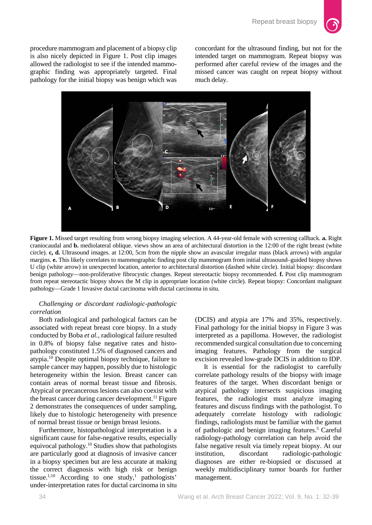

procedure mammogram and placement of a biopsy clip is also nicely depicted in Figure 1. Post clip images allowed the radiologist to see if the intended mammographic finding was appropriately targeted. Final pathology for the initial biopsy was benign which was

concordant for the ultrasound finding, but not for the intended target on mammogram. Repeat biopsy was performed after careful review of the images and the missed cancer was caught on repeat biopsy without much delay.



**Figure 1.** Missed target resulting from wrong biopsy imaging selection. A 44-year-old female with screening callback. **a.** Right craniocaudal and **b.** mediolateral oblique. views show an area of architectural distortion in the 12:00 of the right breast (white circle). **c, d.** Ultrasound images. at 12:00, 5cm from the nipple show an avascular irregular mass (black arrows) with angular margins. **e.** This likely correlates to mammographic finding post clip mammogram from initial ultrasound–guided biopsy shows U clip (white arrow) in unexpected location, anterior to architectural distortion (dashed white circle). Initial biopsy: discordant benign pathology—non-proliferative fibrocystic changes. Repeat stereotactic biopsy recommended. **f.** Post clip mammogram from repeat stereotactic biopsy shows the M clip in appropriate location (white circle). Repeat biopsy: Concordant malignant pathology—Grade 1 Invasive ductal carcinoma with ductal carcinoma in situ.

# *Challenging or discordant radiologic-pathologic correlation*

Both radiological and pathological factors can be associated with repeat breast core biopsy. In a study conducted by Boba *et al.*, radiological failure resulted in 0.8% of biopsy false negative rates and histopathology constituted 1.5% of diagnosed cancers and atypia.10 Despite optimal biopsy technique, failure to sample cancer may happen, possibly due to histologic heterogeneity within the lesion. Breast cancer can contain areas of normal breast tissue and fibrosis. Atypical or precancerous lesions can also coexist with the breast cancer during cancer development.<sup>11</sup> Figure 2 demonstrates the consequences of under sampling, likely due to histologic heterogeneity with presence of normal breast tissue or benign breast lesions.

Furthermore, histopathological interpretation is a significant cause for false-negative results, especially equivocal pathology.<sup>10</sup> Studies show that pathologists are particularly good at diagnosis of invasive cancer in a biopsy specimen but are less accurate at making the correct diagnosis with high risk or benign tissue.<sup>1,10</sup> According to one study,<sup>1</sup> pathologists' under-interpretation rates for ductal carcinoma in situ

(DCIS) and atypia are 17% and 35%, respectively. Final pathology for the initial biopsy in Figure 3 was interpreted as a papilloma. However, the radiologist recommended surgical consultation due to concerning imaging features. Pathology from the surgical excision revealed low-grade DCIS in addition to IDP.

It is essential for the radiologist to carefully correlate pathology results of the biopsy with image features of the target. When discordant benign or atypical pathology intersects suspicious imaging features, the radiologist must analyze imaging features and discuss findings with the pathologist. To adequately correlate histology with radiologic findings, radiologists must be familiar with the gamut of pathologic and benign imaging features.5 Careful radiology-pathology correlation can help avoid the false negative result via timely repeat biopsy. At our institution, discordant radiologic-pathologic institution, discordant radiologic-pathologic diagnoses are either re-biopsied or discussed at weekly multidisciplinary tumor boards for further management.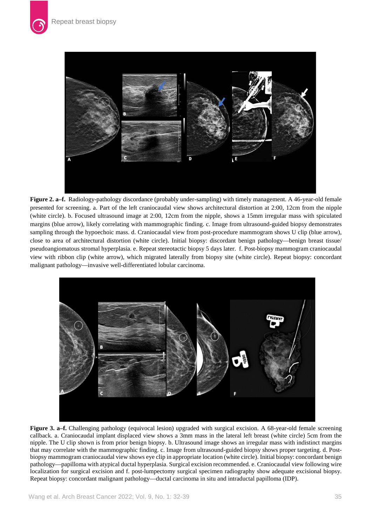

**Figure 2. a–f.** Radiology-pathology discordance (probably under-sampling) with timely management. A 46-year-old female presented for screening. a. Part of the left craniocaudal view shows architectural distortion at 2:00, 12cm from the nipple (white circle). b. Focused ultrasound image at 2:00, 12cm from the nipple, shows a 15mm irregular mass with spiculated margins (blue arrow), likely correlating with mammographic finding. c. Image from ultrasound-guided biopsy demonstrates sampling through the hypoechoic mass. d. Craniocaudal view from post-procedure mammogram shows U clip (blue arrow), close to area of architectural distortion (white circle). Initial biopsy: discordant benign pathology—benign breast tissue/ pseudoangiomatous stromal hyperplasia. e. Repeat stereotactic biopsy 5 days later. f. Post-biopsy mammogram craniocaudal view with ribbon clip (white arrow), which migrated laterally from biopsy site (white circle). Repeat biopsy: concordant malignant pathology—invasive well-differentiated lobular carcinoma.



**Figure 3. a–f.** Challenging pathology (equivocal lesion) upgraded with surgical excision. A 68-year-old female screening callback. a. Craniocaudal implant displaced view shows a 3mm mass in the lateral left breast (white circle) 5cm from the nipple. The U clip shown is from prior benign biopsy. b. Ultrasound image shows an irregular mass with indistinct margins that may correlate with the mammographic finding. c. Image from ultrasound-guided biopsy shows proper targeting. d. Postbiopsy mammogram craniocaudal view shows eye clip in appropriate location (white circle). Initial biopsy: concordant benign pathology—papilloma with atypical ductal hyperplasia. Surgical excision recommended. e. Craniocaudal view following wire localization for surgical excision and f. post-lumpectomy surgical specimen radiography show adequate excisional biopsy. Repeat biopsy: concordant malignant pathology—ductal carcinoma in situ and intraductal papilloma (IDP).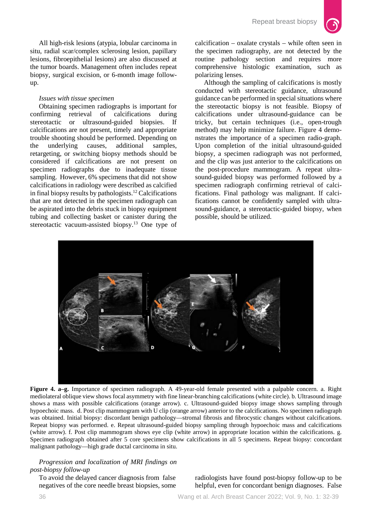

All high-risk lesions (atypia, lobular carcinoma in situ, radial scar/complex sclerosing lesion, papillary lesions, fibroepithelial lesions) are also discussed at the tumor boards. Management often includes repeat biopsy, surgical excision, or 6-month image followup.

#### *Issues with tissue specimen*

Obtaining specimen radiographs is important for confirming retrieval of calcifications during stereotactic or ultrasound-guided biopsies. If calcifications are not present, timely and appropriate trouble shooting should be performed. Depending on the underlying causes, additional samples, retargeting, or switching biopsy methods should be considered if calcifications are not present on specimen radiographs due to inadequate tissue sampling. However, 6% specimens that did not show calcifications in radiology were described as calcified in final biopsy results by pathologists.<sup>12</sup> Calcifications that are not detected in the specimen radiograph can be aspirated into the debris stuck in biopsy equipment tubing and collecting basket or canister during the stereotactic vacuum-assisted biopsy.13 One type of calcification – oxalate crystals – while often seen in the specimen radiography, are not detected by the routine pathology section and requires more comprehensive histologic examination, such as polarizing lenses.

Although the sampling of calcifications is mostly conducted with stereotactic guidance, ultrasound guidance can be performed in special situations where the stereotactic biopsy is not feasible. Biopsy of calcifications under ultrasound-guidance can be tricky, but certain techniques (i.e., open-trough method) may help minimize failure. Figure 4 demonstrates the importance of a specimen radio-graph. Upon completion of the initial ultrasound-guided biopsy, a specimen radiograph was not performed, and the clip was just anterior to the calcifications on the post-procedure mammogram. A repeat ultrasound-guided biopsy was performed followed by a specimen radiograph confirming retrieval of calcifications. Final pathology was malignant. If calcifications cannot be confidently sampled with ultrasound-guidance, a stereotactic-guided biopsy, when possible, should be utilized.



**Figure 4. a–g.** Importance of specimen radiograph. A 49-year-old female presented with a palpable concern. a. Right mediolateral oblique view shows focal asymmetry with fine linear-branching calcifications (white circle). b. Ultrasound image shows a mass with possible calcifications (orange arrow). c. Ultrasound-guided biopsy image shows sampling through hypoechoic mass. d. Post clip mammogram with U clip (orange arrow) anterior to the calcifications. No specimen radiograph was obtained. Initial biopsy: discordant benign pathology—stromal fibrosis and fibrocystic changes without calcifications. Repeat biopsy was performed. e. Repeat ultrasound-guided biopsy sampling through hypoechoic mass and calcifications (white arrow). f. Post clip mammogram shows eye clip (white arrow) in appropriate location within the calcifications. g. Specimen radiograph obtained after 5 core specimens show calcifications in all 5 specimens. Repeat biopsy: concordant malignant pathology—high grade ductal carcinoma in situ.

# *Progression and localization of MRI findings on post-biopsy follow-up*

To avoid the delayed cancer diagnosis from false negatives of the core needle breast biopsies, some radiologists have found post-biopsy follow-up to be helpful, even for concordant benign diagnoses. False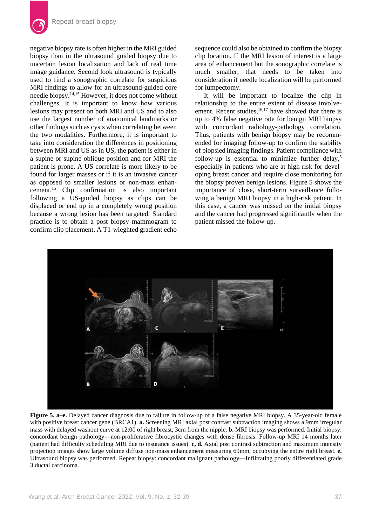

negative biopsy rate is often higher in the MRI guided biopsy than in the ultrasound guided biopsy due to uncertain lesion localization and lack of real time image guidance. Second look ultrasound is typically used to find a sonographic correlate for suspicious MRI findings to allow for an ultrasound-guided core needle biopsy.14,15 However, it does not come without challenges. It is important to know how various lesions may present on both MRI and US and to also use the largest number of anatomical landmarks or other findings such as cysts when correlating between the two modalities. Furthermore, it is important to take into consideration the differences in positioning between MRI and US as in US, the patient is either in a supine or supine oblique position and for MRI the patient is prone. A US correlate is more likely to be found for larger masses or if it is an invasive cancer as opposed to smaller lesions or non-mass enhancement.15 Clip confirmation is also important following a US-guided biopsy as clips can be displaced or end up in a completely wrong position because a wrong lesion has been targeted. Standard practice is to obtain a post biopsy mammogram to confirm clip placement. A T1-wieghted gradient echo sequence could also be obtained to confirm the biopsy clip location. If the MRI lesion of interest is a large area of enhancement but the sonographic correlate is much smaller, that needs to be taken into consideration if needle localization will be performed for lumpectomy.

It will be important to localize the clip in relationship to the entire extent of disease involveement. Recent studies,  $16,17$  have showed that there is up to 4% false negative rate for benign MRI biopsy with concordant radiology-pathology correlation. Thus, patients with benign biopsy may be recommended for imaging follow-up to confirm the stability of biopsied imaging findings. Patient compliance with follow-up is essential to minimize further delay, $5$ especially in patients who are at high risk for developing breast cancer and require close monitoring for the biopsy proven benign lesions. Figure 5 shows the importance of close, short-term surveillance following a benign MRI biopsy in a high-risk patient. In this case, a cancer was missed on the initial biopsy and the cancer had progressed significantly when the patient missed the follow-up.



**Figure 5. a–e.** Delayed cancer diagnosis due to failure in follow-up of a false negative MRI biopsy. A 35-year-old female with positive breast cancer gene (BRCA1). **a.** Screening MRI axial post contrast subtraction imaging shows a 9mm irregular mass with delayed washout curve at 12:00 of right breast, 3cm from the nipple. **b.** MRI biopsy was performed. Initial biopsy: concordant benign pathology—non-proliferative fibrocystic changes with dense fibrosis. Follow-up MRI 14 months later (patient had difficulty scheduling MRI due to insurance issues). **c, d.** Axial post contrast subtraction and maximum intensity projection images show large volume diffuse non-mass enhancement measuring 69mm, occupying the entire right breast. **e.** Ultrasound biopsy was performed. Repeat biopsy: concordant malignant pathology—Infiltrating poorly differentiated grade 3 ductal carcinoma.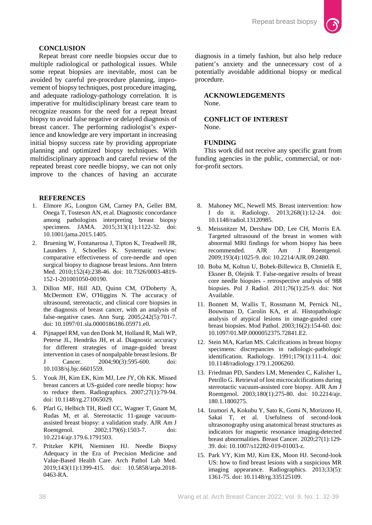

Repeat breast core needle biopsies occur due to multiple radiological or pathological issues. While some repeat biopsies are inevitable, most can be avoided by careful pre-procedure planning, improvement of biopsy techniques, post procedure imaging, and adequate radiology-pathology correlation. It is imperative for multidisciplinary breast care team to recognize reasons for the need for a repeat breast biopsy to avoid false negative or delayed diagnosis of breast cancer. The performing radiologist's experience and knowledge are very important in increasing initial biopsy success rate by providing appropriate planning and optimized biopsy techniques. With multidisciplinary approach and careful review of the repeated breast core needle biopsy, we can not only improve to the chances of having an accurate

#### **REFERENCES**

- 1. Elmore JG, Longton GM, Carney PA, Geller BM, Onega T, Tosteson AN, et al. Diagnostic concordance among pathologists interpreting breast biopsy specimens. JAMA. 2015;313(11):1122-32. doi: 10.1001/jama.2015.1405.
- 2. Bruening W, Fontanarosa J, Tipton K, Treadwell JR, Launders J, Schoelles K. Systematic review: comparative effectiveness of core-needle and open surgical biopsy to diagnose breast lesions. Ann Intern Med. 2010;152(4):238-46. doi: 10.7326/0003-4819- 152-1-201001050-00190.
- 3. Dillon MF, Hill AD, Quinn CM, O'Doherty A, McDermott EW, O'Higgins N. The accuracy of ultrasound, stereotactic, and clinical core biopsies in the diagnosis of breast cancer, with an analysis of false-negative cases. Ann Surg. 2005;242(5):701-7. doi: 10.1097/01.sla.0000186186.05971.e0.
- 4. Pijnappel RM, van den Donk M, Holland R, Mali WP, Peterse JL, Hendriks JH, et al. Diagnostic accuracy for different strategies of image-guided breast intervention in cases of nonpalpable breast lesions. Br J Cancer. 2004;90(3):595-600. doi: 10.1038/sj.bjc.6601559.
- 5. Youk JH, Kim EK, Kim MJ, Lee JY, Oh KK. Missed breast cancers at US-guided core needle biopsy: how to reduce them. Radiographics. 2007;27(1):79-94. doi: 10.1148/rg.271065029.
- 6. Pfarl G, Helbich TH, Riedl CC, Wagner T, Gnant M, Rudas M, et al. Stereotactic 11-gauge vacuumassisted breast biopsy: a validation study. AJR Am J Roentgenol. 2002;179(6):1503-7. doi: 10.2214/ajr.179.6.1791503.
- 7. Pritzker KPH, Nieminen HJ. Needle Biopsy Adequacy in the Era of Precision Medicine and Value-Based Health Care. Arch Pathol Lab Med. 2019;143(11):1399-415. doi: 10.5858/arpa.2018- 0463-RA.

diagnosis in a timely fashion, but also help reduce patient's anxiety and the unnecessary cost of a potentially avoidable additional biopsy or medical procedure.

#### **ACKNOWLEDGEMENTS** None.

# **CONFLICT OF INTEREST** None.

### **FUNDING**

This work did not receive any specific grant from funding agencies in the public, commercial, or notfor-profit sectors.

- 8. Mahoney MC, Newell MS. Breast intervention: how I do it. Radiology. 2013;268(1):12-24. doi: 10.1148/radiol.13120985.
- 9. Meissnitzer M, Dershaw DD, Lee CH, Morris EA. Targeted ultrasound of the breast in women with abnormal MRI findings for whom biopsy has been<br>recommended. AJR Am J Roentgenol. recommended. 2009;193(4):1025-9. doi: 10.2214/AJR.09.2480.
- 10. Boba M, Koltun U, Bobek-Billewicz B, Chmielik E, Eksner B, Olejnik T. False-negative results of breast core needle biopsies - retrospective analysis of 988 biopsies. Pol J Radiol. 2011;76(1):25-9. doi: Not Available.
- 11. Bonnett M, Wallis T, Rossmann M, Pernick NL, Bouwman D, Carolin KA, et al. Histopathologic analysis of atypical lesions in image-guided core breast biopsies. Mod Pathol. 2003;16(2):154-60. doi: 10.1097/01.MP.0000052375.72841.E2.
- 12. Stein MA, Karlan MS. Calcifications in breast biopsy specimens: discrepancies in radiologic-pathologic identification. Radiology. 1991;179(1):111-4. doi: 10.1148/radiology.179.1.2006260.
- 13. Friedman PD, Sanders LM, Menendez C, Kalisher L, Petrillo G. Retrieval of lost microcalcifications during stereotactic vacuum-assisted core biopsy. AJR Am J Roentgenol. 2003;180(1):275-80. doi: 10.2214/ajr. 180.1.1800275.
- 14. Izumori A, Kokubu Y, Sato K, Gomi N, Morizono H, Sakai T, et al. Usefulness of second-look ultrasonography using anatomical breast structures as indicators for magnetic resonance imaging-detected breast abnormalities. Breast Cancer. 2020;27(1):129- 39. doi: 10.1007/s12282-019-01003-z.
- 15. Park VY, Kim MJ, Kim EK, Moon HJ. Second-look US: how to find breast lesions with a suspicious MR imaging appearance. Radiographics. 2013;33(5): 1361-75. doi: 10.1148/rg.335125109.